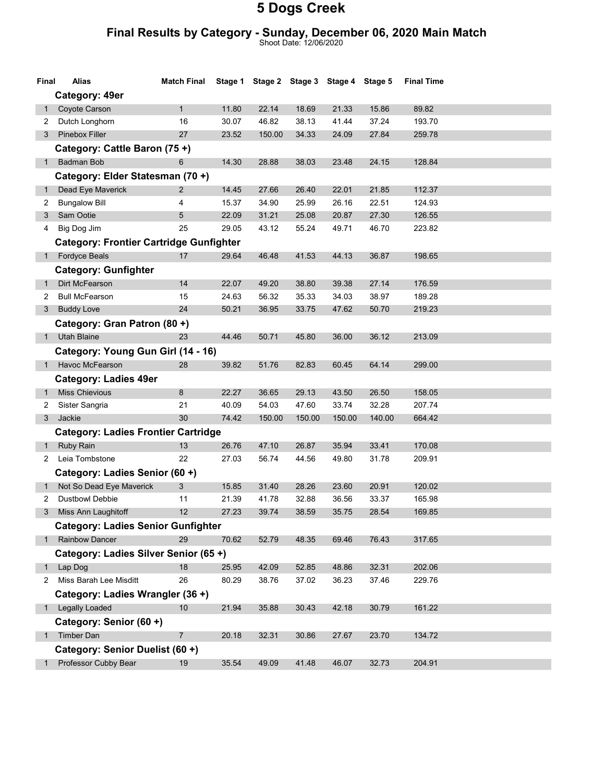#### Final Results by Category - Sunday, December 06, 2020 Main Match

Shoot Date: 12/06/2020

| Final        | Alias                                          | <b>Match Final</b> |       | Stage 1 Stage 2 Stage 3 Stage 4 Stage 5 |        |        |        | <b>Final Time</b> |  |
|--------------|------------------------------------------------|--------------------|-------|-----------------------------------------|--------|--------|--------|-------------------|--|
|              | Category: 49er                                 |                    |       |                                         |        |        |        |                   |  |
| 1            | Coyote Carson                                  | $\mathbf{1}$       | 11.80 | 22.14                                   | 18.69  | 21.33  | 15.86  | 89.82             |  |
| 2            | Dutch Longhorn                                 | 16                 | 30.07 | 46.82                                   | 38.13  | 41.44  | 37.24  | 193.70            |  |
| 3            | Pinebox Filler                                 | 27                 | 23.52 | 150.00                                  | 34.33  | 24.09  | 27.84  | 259.78            |  |
|              | Category: Cattle Baron (75+)                   |                    |       |                                         |        |        |        |                   |  |
| 1            | Badman Bob                                     | 6                  | 14.30 | 28.88                                   | 38.03  | 23.48  | 24.15  | 128.84            |  |
|              | Category: Elder Statesman (70 +)               |                    |       |                                         |        |        |        |                   |  |
| $\mathbf{1}$ | Dead Eye Maverick                              | $\overline{2}$     | 14.45 | 27.66                                   | 26.40  | 22.01  | 21.85  | 112.37            |  |
| 2            | <b>Bungalow Bill</b>                           | 4                  | 15.37 | 34.90                                   | 25.99  | 26.16  | 22.51  | 124.93            |  |
| 3            | Sam Ootie                                      | 5                  | 22.09 | 31.21                                   | 25.08  | 20.87  | 27.30  | 126.55            |  |
| 4            | Big Dog Jim                                    | 25                 | 29.05 | 43.12                                   | 55.24  | 49.71  | 46.70  | 223.82            |  |
|              | <b>Category: Frontier Cartridge Gunfighter</b> |                    |       |                                         |        |        |        |                   |  |
| 1            | <b>Fordyce Beals</b>                           | 17                 | 29.64 | 46.48                                   | 41.53  | 44.13  | 36.87  | 198.65            |  |
|              | <b>Category: Gunfighter</b>                    |                    |       |                                         |        |        |        |                   |  |
| 1            | Dirt McFearson                                 | 14                 | 22.07 | 49.20                                   | 38.80  | 39.38  | 27.14  | 176.59            |  |
| 2            | <b>Bull McFearson</b>                          | 15                 | 24.63 | 56.32                                   | 35.33  | 34.03  | 38.97  | 189.28            |  |
| 3            | <b>Buddy Love</b>                              | 24                 | 50.21 | 36.95                                   | 33.75  | 47.62  | 50.70  | 219.23            |  |
|              | Category: Gran Patron (80 +)                   |                    |       |                                         |        |        |        |                   |  |
| 1            | <b>Utah Blaine</b>                             | 23                 | 44.46 | 50.71                                   | 45.80  | 36.00  | 36.12  | 213.09            |  |
|              | Category: Young Gun Girl (14 - 16)             |                    |       |                                         |        |        |        |                   |  |
|              | Havoc McFearson                                | 28                 | 39.82 | 51.76                                   | 82.83  | 60.45  | 64.14  | 299.00            |  |
|              | <b>Category: Ladies 49er</b>                   |                    |       |                                         |        |        |        |                   |  |
| $\mathbf{1}$ | <b>Miss Chievious</b>                          | 8                  | 22.27 | 36.65                                   | 29.13  | 43.50  | 26.50  | 158.05            |  |
| 2            | Sister Sangria                                 | 21                 | 40.09 | 54.03                                   | 47.60  | 33.74  | 32.28  | 207.74            |  |
| 3            | Jackie                                         | 30                 | 74.42 | 150.00                                  | 150.00 | 150.00 | 140.00 | 664.42            |  |
|              | <b>Category: Ladies Frontier Cartridge</b>     |                    |       |                                         |        |        |        |                   |  |
| $\mathbf{1}$ | Ruby Rain                                      | 13                 | 26.76 | 47.10                                   | 26.87  | 35.94  | 33.41  | 170.08            |  |
| 2            | Leia Tombstone                                 | 22                 | 27.03 | 56.74                                   | 44.56  | 49.80  | 31.78  | 209.91            |  |
|              | Category: Ladies Senior (60 +)                 |                    |       |                                         |        |        |        |                   |  |
| $\mathbf{1}$ | Not So Dead Eye Maverick                       | 3                  | 15.85 | 31.40                                   | 28.26  | 23.60  | 20.91  | 120.02            |  |
| 2            | <b>Dustbowl Debbie</b>                         | 11                 | 21.39 | 41.78                                   | 32.88  | 36.56  | 33.37  | 165.98            |  |
| 3            | Miss Ann Laughitoff                            | 12                 | 27.23 | 39.74                                   | 38.59  | 35.75  | 28.54  | 169.85            |  |
|              | <b>Category: Ladies Senior Gunfighter</b>      |                    |       |                                         |        |        |        |                   |  |
| $1 \quad$    | Rainbow Dancer                                 | 29                 | 70.62 | 52.79                                   | 48.35  | 69.46  | 76.43  | 317.65            |  |
|              | Category: Ladies Silver Senior (65+)           |                    |       |                                         |        |        |        |                   |  |
| 1            | Lap Dog                                        | 18                 | 25.95 | 42.09                                   | 52.85  | 48.86  | 32.31  | 202.06            |  |
| 2            | Miss Barah Lee Misditt                         | 26                 | 80.29 | 38.76                                   | 37.02  | 36.23  | 37.46  | 229.76            |  |
|              | Category: Ladies Wrangler (36 +)               |                    |       |                                         |        |        |        |                   |  |
|              | <b>Legally Loaded</b>                          | 10                 | 21.94 | 35.88                                   | 30.43  | 42.18  | 30.79  | 161.22            |  |
|              | Category: Senior (60 +)                        |                    |       |                                         |        |        |        |                   |  |
| 1            | Timber Dan                                     | $\overline{7}$     | 20.18 | 32.31                                   | 30.86  | 27.67  | 23.70  | 134.72            |  |
|              | Category: Senior Duelist (60 +)                |                    |       |                                         |        |        |        |                   |  |
| 1            | Professor Cubby Bear                           | 19                 | 35.54 | 49.09                                   | 41.48  | 46.07  | 32.73  | 204.91            |  |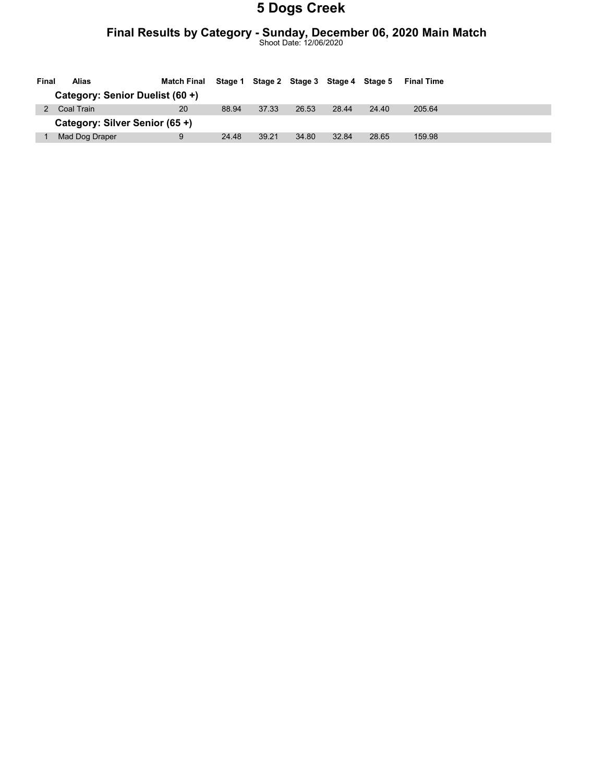### Final Results by Category - Sunday, December 06, 2020 Main Match

Shoot Date: 12/06/2020

| Final | Alias                           | Match Final | Stage 1 |       |       | Stage 2 Stage 3 Stage 4 Stage 5 |       | <b>Final Time</b> |
|-------|---------------------------------|-------------|---------|-------|-------|---------------------------------|-------|-------------------|
|       | Category: Senior Duelist (60 +) |             |         |       |       |                                 |       |                   |
|       | Coal Train                      | 20          | 88.94   | 37.33 | 26.53 | 28.44                           | 24.40 | 205.64            |
|       | Category: Silver Senior (65 +)  |             |         |       |       |                                 |       |                   |
|       | Mad Dog Draper                  | 9           | 24.48   | 39.21 | 34.80 | 32.84                           | 28.65 | 159.98            |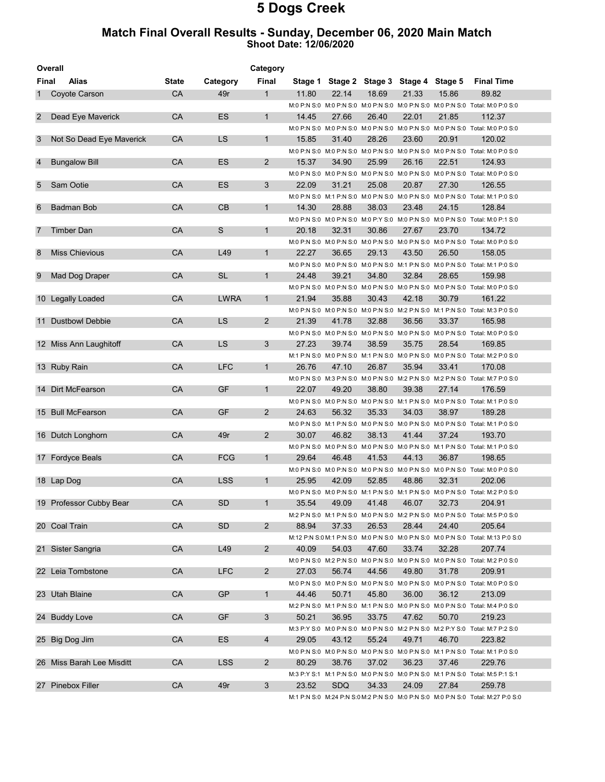#### Match Final Overall Results - Sunday, December 06, 2020 Main Match Shoot Date: 12/06/2020

|                | Overall<br>Category       |              |             |                       |       |            |                                         |       |       |                                                                                              |
|----------------|---------------------------|--------------|-------------|-----------------------|-------|------------|-----------------------------------------|-------|-------|----------------------------------------------------------------------------------------------|
| Final          | <b>Alias</b>              | <b>State</b> | Category    | Final                 |       |            | Stage 1 Stage 2 Stage 3 Stage 4 Stage 5 |       |       | <b>Final Time</b>                                                                            |
| 1              | Coyote Carson             | CA           | 49r         | 1                     | 11.80 | 22.14      | 18.69                                   | 21.33 | 15.86 | 89.82                                                                                        |
|                |                           |              |             |                       |       |            |                                         |       |       | M:0 P:N S:0 M:0 P:N S:0 M:0 P:N S:0 M:0 P:N S:0 M:0 P:N S:0 Total: M:0 P:0 S:0               |
| $\overline{2}$ | Dead Eye Maverick         | CA           | ES          | 1                     | 14.45 | 27.66      | 26.40                                   | 22.01 | 21.85 | 112.37                                                                                       |
|                |                           |              |             |                       |       |            |                                         |       |       | M:0 P:N S:0 M:0 P:N S:0 M:0 P:N S:0 M:0 P:N S:0 M:0 P:N S:0 Total: M:0 P:0 S:0               |
| 3              | Not So Dead Eye Maverick  | CA           | LS          | $\mathbf{1}$          | 15.85 | 31.40      | 28.26                                   | 23.60 | 20.91 | 120.02                                                                                       |
|                |                           |              |             |                       |       |            |                                         |       |       | M:0 P:N S:0 M:0 P:N S:0 M:0 P:N S:0 M:0 P:N S:0 M:0 P:N S:0 M:0 P:N S:0 Total: M:0 P:0 S:0   |
| 4              | <b>Bungalow Bill</b>      | <b>CA</b>    | ES          | 2                     | 15.37 | 34.90      | 25.99                                   | 26.16 | 22.51 | 124.93                                                                                       |
|                |                           |              |             |                       |       |            |                                         |       |       | M:0 P:N S:0 M:0 P:N S:0 M:0 P:N S:0 M:0 P:N S:0 M:0 P:N S:0 Total: M:0 P:0 S:0               |
| 5              | Sam Ootie                 | CA           | ES          | 3                     | 22.09 | 31.21      | 25.08                                   | 20.87 | 27.30 | 126.55                                                                                       |
|                |                           |              |             |                       |       |            |                                         |       |       | M:0 P:N S:0 M:1 P:N S:0 M:0 P:N S:0 M:0 P:N S:0 M:0 P:N S:0 Total: M:1 P:0 S:0               |
| 6              | <b>Badman Bob</b>         | CA           | СB          | $\mathbf{1}$          | 14.30 | 28.88      | 38.03                                   | 23.48 | 24.15 | 128.84                                                                                       |
|                |                           |              |             |                       |       |            |                                         |       |       | M:0 P:N S:0 M:0 P:N S:0 M:0 P:Y S:0 M:0 P:N S:0 M:0 P:N S:0 Total: M:0 P:1 S:0               |
| 7              | Timber Dan                | CA           | S           | $\mathbf{1}$          | 20.18 | 32.31      | 30.86                                   | 27.67 | 23.70 | 134.72                                                                                       |
|                |                           |              |             |                       |       |            |                                         |       |       | M:0 P:N S:0 M:0 P:N S:0 M:0 P:N S:0 M:0 P:N S:0 M:0 P:N S:0 M:0 P:N S:0 Total: M:0 P:0 S:0   |
| 8              | <b>Miss Chievious</b>     | CA           | L49         | 1                     | 22.27 | 36.65      | 29.13                                   | 43.50 | 26.50 | 158.05                                                                                       |
|                |                           |              |             |                       |       |            |                                         |       |       | M:0 P:N S:0 M:0 P:N S:0 M:0 P:N S:0 M:1 P:N S:0 M:0 P:N S:0 Total: M:1 P:0 S:0               |
| 9              | Mad Dog Draper            | CA           | <b>SL</b>   | $\mathbf{1}$          | 24.48 | 39.21      | 34.80                                   | 32.84 | 28.65 | 159.98                                                                                       |
|                |                           |              |             |                       |       |            |                                         |       |       | M:0 P:N S:0 M:0 P:N S:0 M:0 P:N S:0 M:0 P:N S:0 M:0 P:N S:0 Total: M:0 P:0 S:0               |
|                | 10 Legally Loaded         | CA           | <b>LWRA</b> | $\mathbf{1}$          | 21.94 | 35.88      | 30.43                                   | 42.18 | 30.79 | 161.22                                                                                       |
|                |                           |              |             |                       |       |            |                                         |       |       | M:0 P:N S:0 M:0 P:N S:0 M:0 P:N S:0 M:2 P:N S:0 M:1 P:N S:0 Total: M:3 P:0 S:0               |
| 11             | <b>Dustbowl Debbie</b>    | <b>CA</b>    | LS.         | $\overline{2}$        | 21.39 | 41.78      | 32.88                                   | 36.56 | 33.37 | 165.98                                                                                       |
|                |                           |              |             |                       |       |            |                                         |       |       | M:0 P:N S:0 M:0 P:N S:0 M:0 P:N S:0 M:0 P:N S:0 M:0 P:N S:0 M:0 P:N S:0 Total: M:0 P:0 S:0   |
|                | 12 Miss Ann Laughitoff    | CA           | LS          | 3                     | 27.23 | 39.74      | 38.59                                   | 35.75 | 28.54 | 169.85                                                                                       |
|                |                           |              |             |                       |       |            |                                         |       |       | M:1 P:N S:0 M:0 P:N S:0 M:1 P:N S:0 M:0 P:N S:0 M:0 P:N S:0 Total: M:2 P:0 S:0               |
|                | 13 Ruby Rain              | CA           | <b>LFC</b>  | 1                     | 26.76 | 47.10      | 26.87                                   | 35.94 | 33.41 | 170.08                                                                                       |
|                |                           |              |             |                       |       |            |                                         |       |       | M:0 P:N S:0 M:3 P:N S:0 M:0 P:N S:0 M:2 P:N S:0 M:2 P:N S:0 Total: M:7 P:0 S:0               |
|                | 14 Dirt McFearson         | CA           | GF          | 1                     | 22.07 | 49.20      | 38.80                                   | 39.38 | 27.14 | 176.59                                                                                       |
|                |                           |              |             |                       |       |            |                                         |       |       |                                                                                              |
|                | 15 Bull McFearson         | CA           | GF          | 2                     | 24.63 | 56.32      | 35.33                                   |       | 38.97 | M:0 P:N S:0 M:0 P:N S:0 M:0 P:N S:0 M:1 P:N S:0 M:0 P:N S:0 Total: M:1 P:0 S:0<br>189.28     |
|                |                           |              |             |                       |       |            |                                         | 34.03 |       |                                                                                              |
|                |                           |              |             |                       |       |            |                                         |       |       | M:0 P:N S:0 M:1 P:N S:0 M:0 P:N S:0 M:0 P:N S:0 M:0 P:N S:0 M:0 P:N S:0 Total: M:1 P:0 S:0   |
|                | 16 Dutch Longhorn         | CA           | 49r         | $\overline{2}$        | 30.07 | 46.82      | 38.13                                   | 41.44 | 37.24 | 193.70                                                                                       |
|                |                           |              |             |                       |       |            |                                         |       |       | M:0 P:N S:0 M:0 P:N S:0 M:0 P:N S:0 M:0 P:N S:0 M:1 P:N S:0 Total: M:1 P:0 S:0               |
|                | 17 Fordyce Beals          | <b>CA</b>    | <b>FCG</b>  | 1                     | 29.64 | 46.48      | 41.53                                   | 44.13 | 36.87 | 198.65                                                                                       |
|                |                           |              |             |                       |       |            |                                         |       |       | M:0 P:N S:0 M:0 P:N S:0 M:0 P:N S:0 M:0 P:N S:0 M:0 P:N S:0 M:0 P:N S:0 Total: M:0 P:0 S:0   |
|                | 18 Lap Dog                | CA           | <b>LSS</b>  | $\mathbf{1}$          | 25.95 | 42.09      | 52.85                                   | 48.86 | 32.31 | 202.06                                                                                       |
|                |                           |              |             |                       |       |            |                                         |       |       | M:0 P:N S:0 M:0 P:N S:0 M:1 P:N S:0 M:1 P:N S:0 M:0 P:N S:0 Total: M:2 P:0 S:0               |
|                | 19 Professor Cubby Bear   | CA           | <b>SD</b>   | 1                     | 35.54 | 49.09      | 41.48                                   | 46.07 | 32.73 | 204.91                                                                                       |
|                |                           |              |             |                       |       |            |                                         |       |       | M:2 P:N S:0 M:1 P:N S:0 M:0 P:N S:0 M:2 P:N S:0 M:0 P:N S:0 Total: M:5 P:0 S:0               |
|                | 20 Coal Train             | CA           | SD.         | 2                     | 88.94 | 37.33      | 26.53                                   | 28.44 | 24.40 | 205.64                                                                                       |
|                |                           |              |             |                       |       |            |                                         |       |       | M:12 P:N S:0 M:1 P:N S:0 M:0 P:N S:0 M:0 P:N S:0 M:0 P:N S:0 M:0 P:N S:0 Total: M:13 P:0 S:0 |
|                | 21 Sister Sangria         | CA           | L49         | $\overline{2}$        | 40.09 | 54.03      | 47.60                                   | 33.74 | 32.28 | 207.74                                                                                       |
|                |                           |              |             |                       |       |            |                                         |       |       | M:0 P:N S:0 M:2 P:N S:0 M:0 P:N S:0 M:0 P:N S:0 M:0 P:N S:0 Total: M:2 P:0 S:0               |
|                | 22 Leia Tombstone         | CA           | <b>LFC</b>  | $\mathbf{2}^{\prime}$ | 27.03 | 56.74      | 44.56                                   | 49.80 | 31.78 | 209.91                                                                                       |
|                |                           |              |             |                       |       |            |                                         |       |       | M:0 P:N S:0 M:0 P:N S:0 M:0 P:N S:0 M:0 P:N S:0 M:0 P:N S:0 M:0 P:N S:0 Total: M:0 P:0 S:0   |
|                | 23 Utah Blaine            | CA           | GP          | $\mathbf{1}$          | 44.46 | 50.71      | 45.80                                   | 36.00 | 36.12 | 213.09                                                                                       |
|                |                           |              |             |                       |       |            |                                         |       |       | M:2 P:N S:0 M:1 P:N S:0 M:1 P:N S:0 M:0 P:N S:0 M:0 P:N S:0 Total: M:4 P:0 S:0               |
|                | 24 Buddy Love             | CA           | <b>GF</b>   | 3                     | 50.21 | 36.95      | 33.75                                   | 47.62 | 50.70 | 219.23                                                                                       |
|                |                           |              |             |                       |       |            |                                         |       |       | M:3 P:Y S:0 M:0 P:N S:0 M:0 P:N S:0 M:2 P:N S:0 M:2 P:Y S:0 Total: M:7 P:2 S:0               |
|                | 25 Big Dog Jim            | CA           | ES.         | $\overline{4}$        | 29.05 | 43.12      | 55.24                                   | 49.71 | 46.70 | 223.82                                                                                       |
|                |                           |              |             |                       |       |            |                                         |       |       | M:0 P:N S:0 M:0 P:N S:0 M:0 P:N S:0 M:0 P:N S:0 M:1 P:N S:0 Total: M:1 P:0 S:0               |
|                | 26 Miss Barah Lee Misditt | CA           | <b>LSS</b>  | 2                     | 80.29 | 38.76      | 37.02                                   | 36.23 | 37.46 | 229.76                                                                                       |
|                |                           |              |             |                       |       |            |                                         |       |       | M:3 P:Y S:1 M:1 P:N S:0 M:0 P:N S:0 M:0 P:N S:0 M:1 P:N S:0 Total: M:5 P:1 S:1               |
|                | 27 Pinebox Filler         | CA           | 49r         | 3                     | 23.52 | <b>SDQ</b> | 34.33                                   | 24.09 | 27.84 | 259.78                                                                                       |
|                |                           |              |             |                       |       |            |                                         |       |       |                                                                                              |

M:1 P:N S:0 M:24 P:N S:0 M:2 P:N S:0 M:0 P:N S:0 M:0 P:N S:0 Total: M:27 P:0 S:0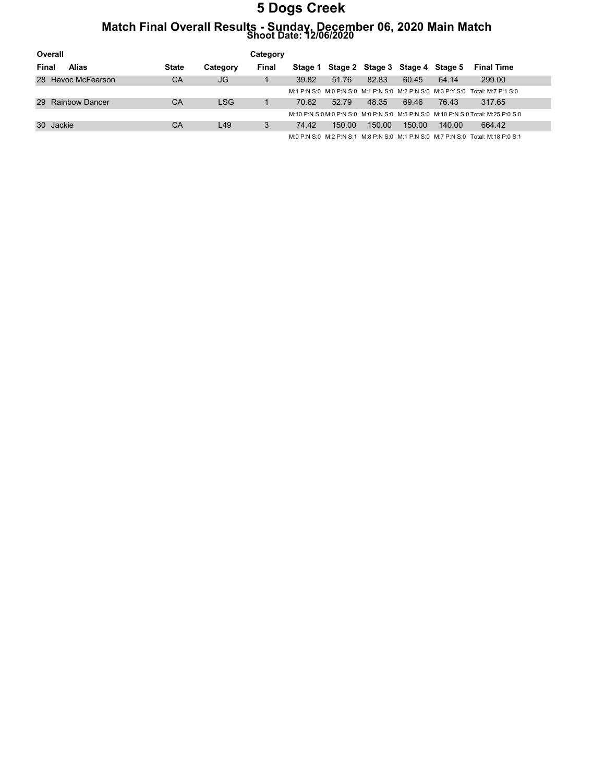# Match Final Overall Results - Sunday, December 06, 2020 Main Match Shoot Date: 12/06/2020

| Overall            |              |          | Category |         |        |                                 |        |        |                                                                                   |
|--------------------|--------------|----------|----------|---------|--------|---------------------------------|--------|--------|-----------------------------------------------------------------------------------|
| Alias<br>Final     | <b>State</b> | Category | Final    | Stage 1 |        | Stage 2 Stage 3 Stage 4 Stage 5 |        |        | <b>Final Time</b>                                                                 |
| 28 Havoc McFearson | CA           | JG       |          | 39.82   | 51.76  | 82.83                           | 60.45  | 64.14  | 299.00                                                                            |
|                    |              |          |          |         |        |                                 |        |        | M:1 P:N S:0 M:0 P:N S:0 M:1 P:N S:0 M:2 P:N S:0 M:3 P:Y S:0 Total: M:7 P:1 S:0    |
| 29 Rainbow Dancer  | CA           | LSG.     |          | 70.62   | 52.79  | 48.35                           | 69.46  | 76.43  | 317.65                                                                            |
|                    |              |          |          |         |        |                                 |        |        | M:10 P:N S:0 M:0 P:N S:0 M:0 P:N S:0 M:5 P:N S:0 M:10 P:N S:0 Total: M:25 P:0 S:0 |
| 30 Jackie          | CA           | L49      | 3        | 74.42   | 150.00 | 150.00                          | 150.00 | 140.00 | 664.42                                                                            |
|                    |              |          |          |         |        |                                 |        |        | M:0 P:N S:0 M:2 P:N S:1 M:8 P:N S:0 M:1 P:N S:0 M:7 P:N S:0 Total: M:18 P:0 S:1   |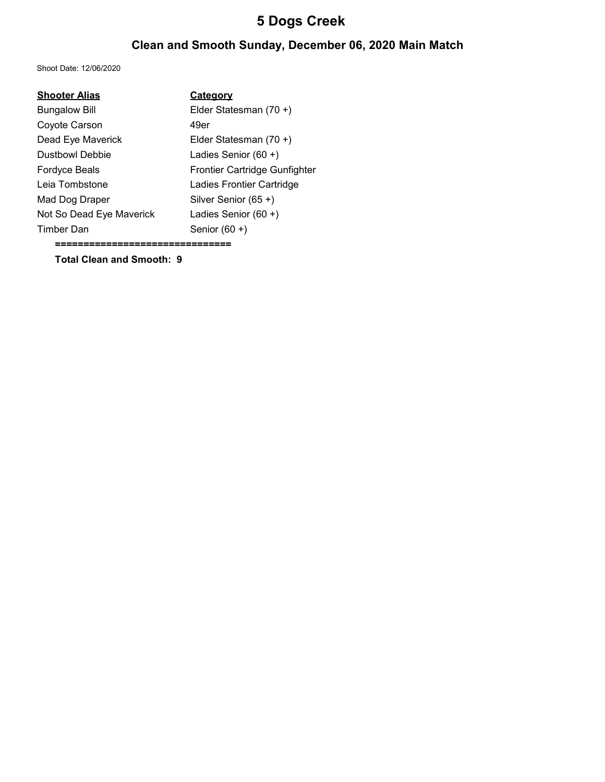### Clean and Smooth Sunday, December 06, 2020 Main Match

Shoot Date: 12/06/2020

| <b>Shooter Alias</b>     | Category                      |
|--------------------------|-------------------------------|
| <b>Bungalow Bill</b>     | Elder Statesman (70 +)        |
| Coyote Carson            | 49er                          |
| Dead Eye Maverick        | Elder Statesman (70 +)        |
| <b>Dustbowl Debbie</b>   | Ladies Senior $(60 +)$        |
| <b>Fordyce Beals</b>     | Frontier Cartridge Gunfighter |
| Leia Tombstone           | Ladies Frontier Cartridge     |
| Mad Dog Draper           | Silver Senior (65+)           |
| Not So Dead Eye Maverick | Ladies Senior $(60 +)$        |
| Timber Dan               | Senior $(60 +)$               |

===============================

Total Clean and Smooth: 9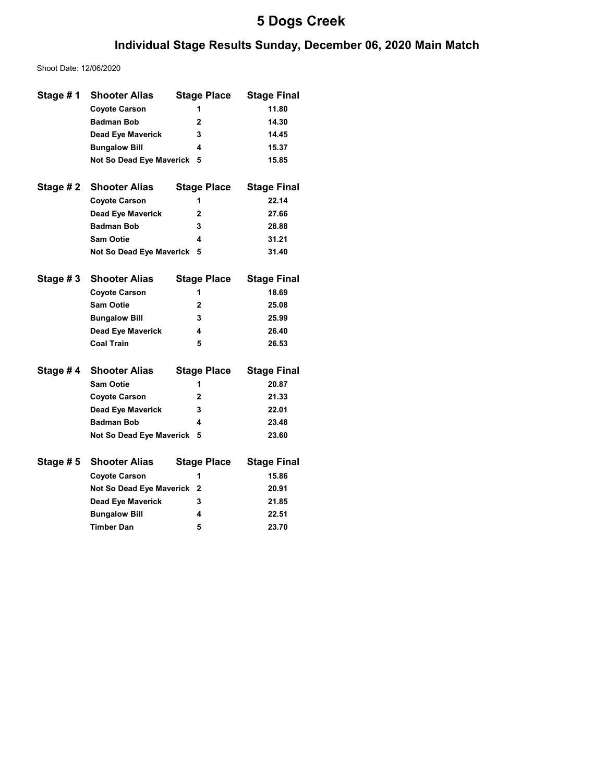### Individual Stage Results Sunday, December 06, 2020 Main Match

Shoot Date: 12/06/2020

| Stage #1  | <b>Shooter Alias</b>       | <b>Stage Place</b> | <b>Stage Final</b> |
|-----------|----------------------------|--------------------|--------------------|
|           | <b>Coyote Carson</b>       | 1                  | 11.80              |
|           | <b>Badman Bob</b>          | $\mathbf{2}$       | 14.30              |
|           | <b>Dead Eye Maverick</b>   | 3                  | 14.45              |
|           | <b>Bungalow Bill</b>       | 4                  | 15.37              |
|           | Not So Dead Eye Maverick   | 5                  | 15.85              |
|           |                            |                    |                    |
| Stage # 2 | <b>Shooter Alias</b>       | <b>Stage Place</b> | <b>Stage Final</b> |
|           | <b>Coyote Carson</b>       | 1                  | 22.14              |
|           | <b>Dead Eye Maverick</b>   | 2                  | 27.66              |
|           | <b>Badman Bob</b>          | 3                  | 28.88              |
|           | <b>Sam Ootie</b>           | 4                  | 31.21              |
|           | Not So Dead Eye Maverick   | 5                  | 31.40              |
|           |                            |                    |                    |
| Stage #3  | <b>Shooter Alias</b>       | <b>Stage Place</b> | <b>Stage Final</b> |
|           | <b>Coyote Carson</b>       | 1                  | 18.69              |
|           | <b>Sam Ootie</b>           | $\mathbf{2}$       | 25.08              |
|           | <b>Bungalow Bill</b>       | 3                  | 25.99              |
|           | <b>Dead Eye Maverick</b>   | 4                  | 26.40              |
|           | <b>Coal Train</b>          | 5                  | 26.53              |
|           |                            |                    |                    |
| Stage #4  | <b>Shooter Alias</b>       | <b>Stage Place</b> | <b>Stage Final</b> |
|           | <b>Sam Ootie</b>           | 1                  | 20.87              |
|           | <b>Coyote Carson</b>       | 2                  | 21.33              |
|           | <b>Dead Eye Maverick</b>   | 3                  | 22.01              |
|           | <b>Badman Bob</b>          | 4                  | 23.48              |
|           | Not So Dead Eye Maverick   | 5                  | 23.60              |
|           |                            |                    |                    |
| Stage # 5 | <b>Shooter Alias</b>       | <b>Stage Place</b> | <b>Stage Final</b> |
|           | <b>Coyote Carson</b>       | 1                  | 15.86              |
|           | Not So Dead Eye Maverick 2 |                    | 20.91              |
|           | <b>Dead Eye Maverick</b>   | 3                  | 21.85              |
|           | <b>Bungalow Bill</b>       | 4                  | 22.51              |
|           | <b>Timber Dan</b>          | 5                  | 23.70              |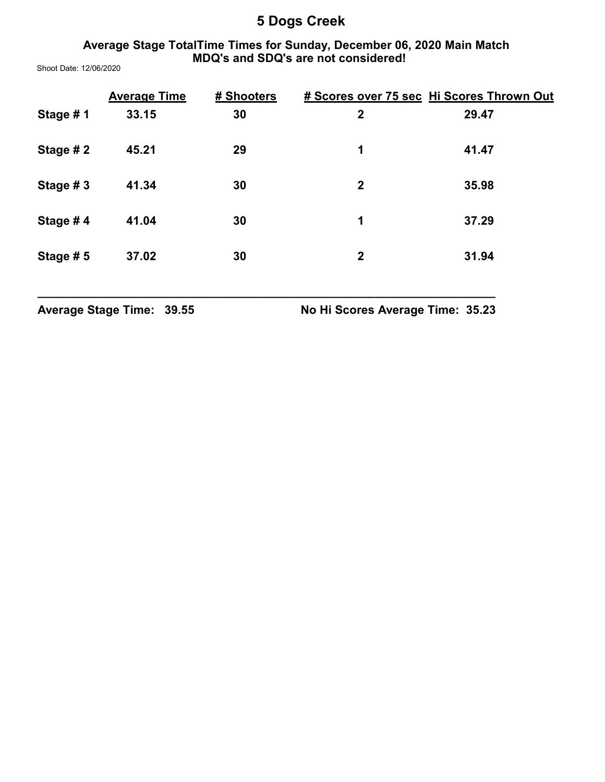### Average Stage TotalTime Times for Sunday, December 06, 2020 Main Match MDQ's and SDQ's are not considered!

Shoot Date: 12/06/2020

|          | <b>Average Time</b> | # Shooters |              | # Scores over 75 sec Hi Scores Thrown Out |
|----------|---------------------|------------|--------------|-------------------------------------------|
| Stage #1 | 33.15               | 30         | $\mathbf{2}$ | 29.47                                     |
| Stage #2 | 45.21               | 29         | 1            | 41.47                                     |
| Stage #3 | 41.34               | 30         | $\mathbf{2}$ | 35.98                                     |
| Stage #4 | 41.04               | 30         | 1            | 37.29                                     |
| Stage #5 | 37.02               | 30         | $\mathbf 2$  | 31.94                                     |

\_\_\_\_\_\_\_\_\_\_\_\_\_\_\_\_\_\_\_\_\_\_\_\_\_\_\_\_\_\_\_\_\_\_\_\_\_\_\_\_\_\_\_\_\_\_\_\_\_\_\_\_\_\_\_\_\_\_\_\_\_\_\_\_\_\_\_\_\_

Average Stage Time: 39.55 No Hi Scores Average Time: 35.23